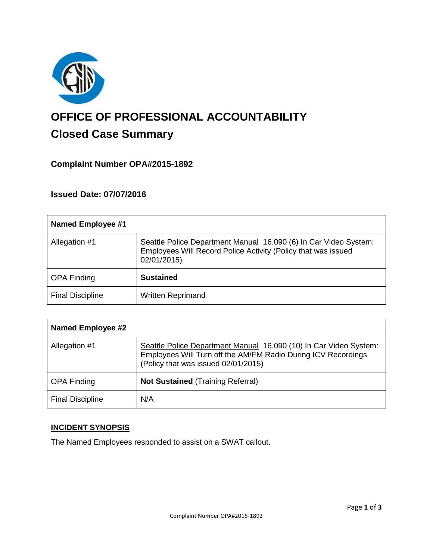

# **OFFICE OF PROFESSIONAL ACCOUNTABILITY Closed Case Summary**

## **Complaint Number OPA#2015-1892**

#### **Issued Date: 07/07/2016**

| <b>Named Employee #1</b> |                                                                                                                                                  |
|--------------------------|--------------------------------------------------------------------------------------------------------------------------------------------------|
| Allegation #1            | Seattle Police Department Manual 16.090 (6) In Car Video System:<br>Employees Will Record Police Activity (Policy that was issued<br>02/01/2015) |
| <b>OPA Finding</b>       | <b>Sustained</b>                                                                                                                                 |
| <b>Final Discipline</b>  | <b>Written Reprimand</b>                                                                                                                         |

| <b>Named Employee #2</b> |                                                                                                                                                                           |
|--------------------------|---------------------------------------------------------------------------------------------------------------------------------------------------------------------------|
| Allegation #1            | Seattle Police Department Manual 16.090 (10) In Car Video System:<br>Employees Will Turn off the AM/FM Radio During ICV Recordings<br>(Policy that was issued 02/01/2015) |
| <b>OPA Finding</b>       | <b>Not Sustained (Training Referral)</b>                                                                                                                                  |
| <b>Final Discipline</b>  | N/A                                                                                                                                                                       |

## **INCIDENT SYNOPSIS**

The Named Employees responded to assist on a SWAT callout.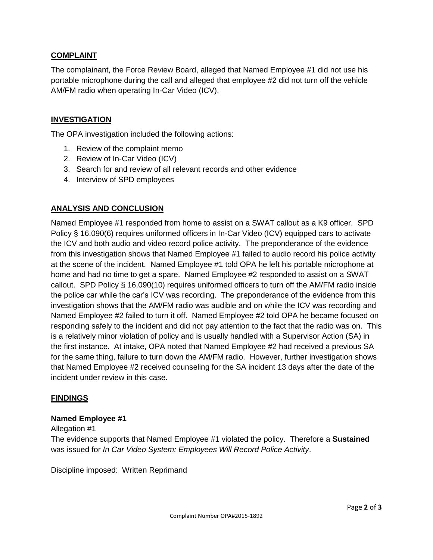#### **COMPLAINT**

The complainant, the Force Review Board, alleged that Named Employee #1 did not use his portable microphone during the call and alleged that employee #2 did not turn off the vehicle AM/FM radio when operating In-Car Video (ICV).

### **INVESTIGATION**

The OPA investigation included the following actions:

- 1. Review of the complaint memo
- 2. Review of In-Car Video (ICV)
- 3. Search for and review of all relevant records and other evidence
- 4. Interview of SPD employees

#### **ANALYSIS AND CONCLUSION**

Named Employee #1 responded from home to assist on a SWAT callout as a K9 officer. SPD Policy § 16.090(6) requires uniformed officers in In-Car Video (ICV) equipped cars to activate the ICV and both audio and video record police activity. The preponderance of the evidence from this investigation shows that Named Employee #1 failed to audio record his police activity at the scene of the incident. Named Employee #1 told OPA he left his portable microphone at home and had no time to get a spare. Named Employee #2 responded to assist on a SWAT callout. SPD Policy § 16.090(10) requires uniformed officers to turn off the AM/FM radio inside the police car while the car's ICV was recording. The preponderance of the evidence from this investigation shows that the AM/FM radio was audible and on while the ICV was recording and Named Employee #2 failed to turn it off. Named Employee #2 told OPA he became focused on responding safely to the incident and did not pay attention to the fact that the radio was on. This is a relatively minor violation of policy and is usually handled with a Supervisor Action (SA) in the first instance. At intake, OPA noted that Named Employee #2 had received a previous SA for the same thing, failure to turn down the AM/FM radio. However, further investigation shows that Named Employee #2 received counseling for the SA incident 13 days after the date of the incident under review in this case.

#### **FINDINGS**

#### **Named Employee #1**

#### Allegation #1

The evidence supports that Named Employee #1 violated the policy. Therefore a **Sustained** was issued for *In Car Video System: Employees Will Record Police Activity*.

Discipline imposed: Written Reprimand